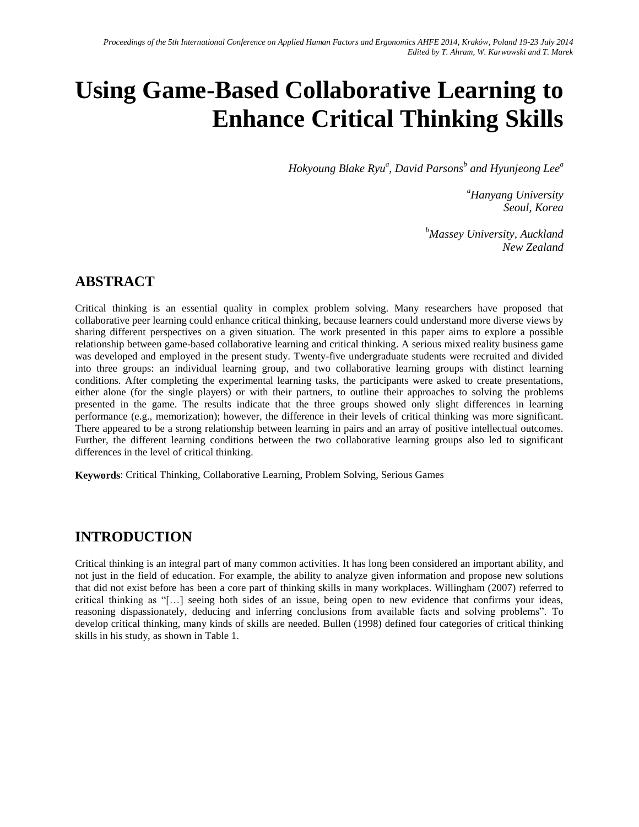# **Using Game-Based Collaborative Learning to Enhance Critical Thinking Skills**

*Hokyoung Blake Ryu<sup>a</sup> , David Parsons<sup>b</sup> and Hyunjeong Lee<sup>a</sup>*

*<sup>a</sup>Hanyang University Seoul, Korea*

*<sup>b</sup>Massey University, Auckland New Zealand*

# **ABSTRACT**

Critical thinking is an essential quality in complex problem solving. Many researchers have proposed that collaborative peer learning could enhance critical thinking, because learners could understand more diverse views by sharing different perspectives on a given situation. The work presented in this paper aims to explore a possible relationship between game-based collaborative learning and critical thinking. A serious mixed reality business game was developed and employed in the present study. Twenty-five undergraduate students were recruited and divided into three groups: an individual learning group, and two collaborative learning groups with distinct learning conditions. After completing the experimental learning tasks, the participants were asked to create presentations, either alone (for the single players) or with their partners, to outline their approaches to solving the problems presented in the game. The results indicate that the three groups showed only slight differences in learning performance (e.g., memorization); however, the difference in their levels of critical thinking was more significant. There appeared to be a strong relationship between learning in pairs and an array of positive intellectual outcomes. Further, the different learning conditions between the two collaborative learning groups also led to significant differences in the level of critical thinking.

**Keywords**: Critical Thinking, Collaborative Learning, Problem Solving, Serious Games

## **INTRODUCTION**

Critical thinking is an integral part of many common activities. It has long been considered an important ability, and not just in the field of education. For example, the ability to analyze given information and propose new solutions that did not exist before has been a core part of thinking skills in many workplaces. Willingham (2007) referred to critical thinking as "[…] seeing both sides of an issue, being open to new evidence that confirms your ideas, reasoning dispassionately, deducing and inferring conclusions from available facts and solving problems". To develop critical thinking, many kinds of skills are needed. Bullen (1998) defined four categories of critical thinking skills in his study, as shown in Table 1.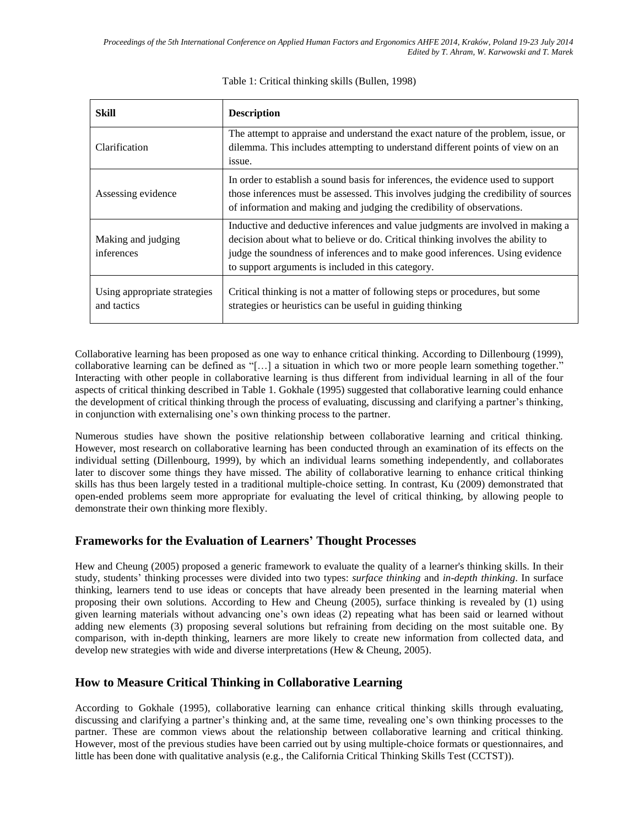| Skill                                       | <b>Description</b>                                                                                                                                                                                                                                                                                        |  |
|---------------------------------------------|-----------------------------------------------------------------------------------------------------------------------------------------------------------------------------------------------------------------------------------------------------------------------------------------------------------|--|
| Clarification                               | The attempt to appraise and understand the exact nature of the problem, issue, or<br>dilemma. This includes attempting to understand different points of view on an<br>issue.                                                                                                                             |  |
| Assessing evidence                          | In order to establish a sound basis for inferences, the evidence used to support<br>those inferences must be assessed. This involves judging the credibility of sources<br>of information and making and judging the credibility of observations.                                                         |  |
| Making and judging<br>inferences            | Inductive and deductive inferences and value judgments are involved in making a<br>decision about what to believe or do. Critical thinking involves the ability to<br>judge the soundness of inferences and to make good inferences. Using evidence<br>to support arguments is included in this category. |  |
| Using appropriate strategies<br>and tactics | Critical thinking is not a matter of following steps or procedures, but some<br>strategies or heuristics can be useful in guiding thinking                                                                                                                                                                |  |

#### Table 1: Critical thinking skills (Bullen, 1998)

Collaborative learning has been proposed as one way to enhance critical thinking. According to Dillenbourg (1999), collaborative learning can be defined as "[…] a situation in which two or more people learn something together." Interacting with other people in collaborative learning is thus different from individual learning in all of the four aspects of critical thinking described in Table 1. Gokhale (1995) suggested that collaborative learning could enhance the development of critical thinking through the process of evaluating, discussing and clarifying a partner's thinking, in conjunction with externalising one's own thinking process to the partner.

Numerous studies have shown the positive relationship between collaborative learning and critical thinking. However, most research on collaborative learning has been conducted through an examination of its effects on the individual setting (Dillenbourg, 1999), by which an individual learns something independently, and collaborates later to discover some things they have missed. The ability of collaborative learning to enhance critical thinking skills has thus been largely tested in a traditional multiple-choice setting. In contrast, Ku (2009) demonstrated that open-ended problems seem more appropriate for evaluating the level of critical thinking, by allowing people to demonstrate their own thinking more flexibly.

## **Frameworks for the Evaluation of Learners' Thought Processes**

Hew and Cheung (2005) proposed a generic framework to evaluate the quality of a learner's thinking skills. In their study, students' thinking processes were divided into two types: *surface thinking* and *in-depth thinking*. In surface thinking, learners tend to use ideas or concepts that have already been presented in the learning material when proposing their own solutions. According to Hew and Cheung (2005), surface thinking is revealed by (1) using given learning materials without advancing one's own ideas (2) repeating what has been said or learned without adding new elements (3) proposing several solutions but refraining from deciding on the most suitable one. By comparison, with in-depth thinking, learners are more likely to create new information from collected data, and develop new strategies with wide and diverse interpretations (Hew & Cheung, 2005).

## **How to Measure Critical Thinking in Collaborative Learning**

According to Gokhale (1995), collaborative learning can enhance critical thinking skills through evaluating, discussing and clarifying a partner's thinking and, at the same time, revealing one's own thinking processes to the partner. These are common views about the relationship between collaborative learning and critical thinking. However, most of the previous studies have been carried out by using multiple-choice formats or questionnaires, and little has been done with qualitative analysis (e.g., the California Critical Thinking Skills Test (CCTST)).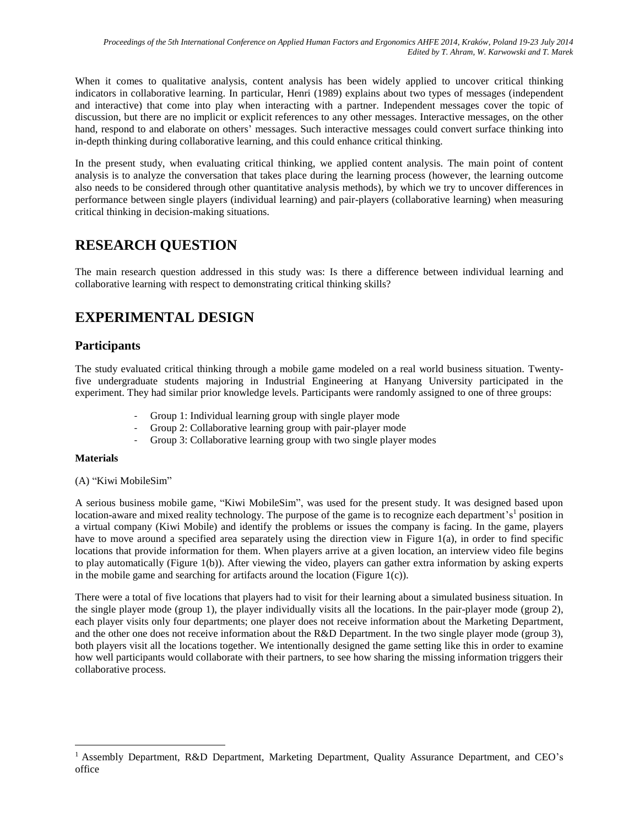When it comes to qualitative analysis, content analysis has been widely applied to uncover critical thinking indicators in collaborative learning. In particular, Henri (1989) explains about two types of messages (independent and interactive) that come into play when interacting with a partner. Independent messages cover the topic of discussion, but there are no implicit or explicit references to any other messages. Interactive messages, on the other hand, respond to and elaborate on others' messages. Such interactive messages could convert surface thinking into in-depth thinking during collaborative learning, and this could enhance critical thinking.

In the present study, when evaluating critical thinking, we applied content analysis. The main point of content analysis is to analyze the conversation that takes place during the learning process (however, the learning outcome also needs to be considered through other quantitative analysis methods), by which we try to uncover differences in performance between single players (individual learning) and pair-players (collaborative learning) when measuring critical thinking in decision-making situations.

# **RESEARCH QUESTION**

The main research question addressed in this study was: Is there a difference between individual learning and collaborative learning with respect to demonstrating critical thinking skills?

# **EXPERIMENTAL DESIGN**

## **Participants**

The study evaluated critical thinking through a mobile game modeled on a real world business situation. Twentyfive undergraduate students majoring in Industrial Engineering at Hanyang University participated in the experiment. They had similar prior knowledge levels. Participants were randomly assigned to one of three groups:

- Group 1: Individual learning group with single player mode
- Group 2: Collaborative learning group with pair-player mode
- Group 3: Collaborative learning group with two single player modes

#### **Materials**

 $\overline{a}$ 

#### (A) "Kiwi MobileSim"

A serious business mobile game, "Kiwi MobileSim", was used for the present study. It was designed based upon location-aware and mixed reality technology. The purpose of the game is to recognize each department's<sup>1</sup> position in a virtual company (Kiwi Mobile) and identify the problems or issues the company is facing. In the game, players have to move around a specified area separately using the direction view in Figure 1(a), in order to find specific locations that provide information for them. When players arrive at a given location, an interview video file begins to play automatically (Figure 1(b)). After viewing the video, players can gather extra information by asking experts in the mobile game and searching for artifacts around the location (Figure 1(c)).

There were a total of five locations that players had to visit for their learning about a simulated business situation. In the single player mode (group 1), the player individually visits all the locations. In the pair-player mode (group 2), each player visits only four departments; one player does not receive information about the Marketing Department, and the other one does not receive information about the R&D Department. In the two single player mode (group 3), both players visit all the locations together. We intentionally designed the game setting like this in order to examine how well participants would collaborate with their partners, to see how sharing the missing information triggers their collaborative process.

<sup>&</sup>lt;sup>1</sup> Assembly Department, R&D Department, Marketing Department, Quality Assurance Department, and CEO's office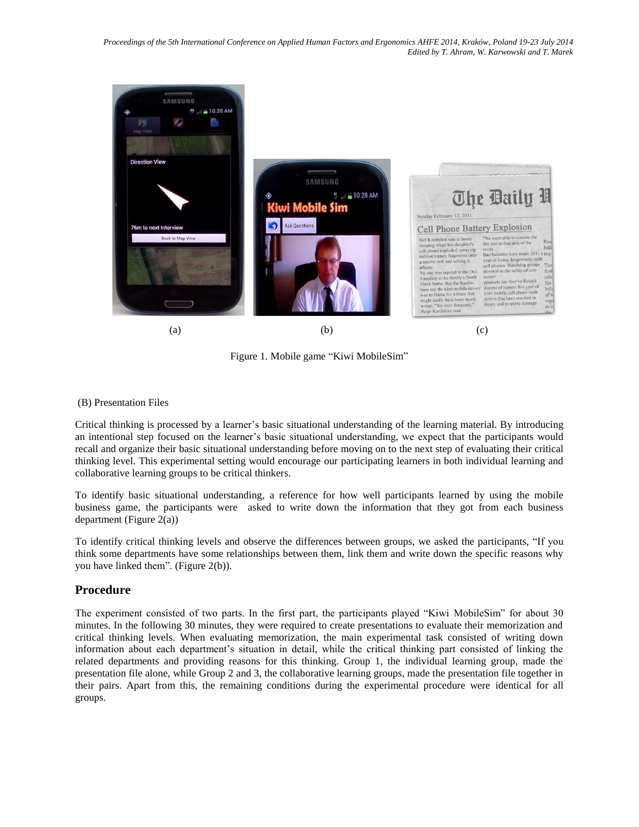

Figure 1. Mobile game "Kiwi MobileSim"

#### (B) Presentation Files

Critical thinking is processed by a learner's basic situational understanding of the learning material. By introducing an intentional step focused on the learner's basic situational understanding, we expect that the participants would recall and organize their basic situational understanding before moving on to the next step of evaluating their critical thinking level. This experimental setting would encourage our participating learners in both individual learning and collaborative learning groups to be critical thinkers.

To identify basic situational understanding, a reference for how well participants learned by using the mobile business game, the participants were asked to write down the information that they got from each business department (Figure 2(a))

To identify critical thinking levels and observe the differences between groups, we asked the participants, "If you think some departments have some relationships between them, link them and write down the specific reasons why you have linked them". (Figure 2(b)).

#### **Procedure**

The experiment consisted of two parts. In the first part, the participants played "Kiwi MobileSim" for about 30 minutes. In the following 30 minutes, they were required to create presentations to evaluate their memorization and critical thinking levels. When evaluating memorization, the main experimental task consisted of writing down information about each department's situation in detail, while the critical thinking part consisted of linking the related departments and providing reasons for this thinking. Group 1, the individual learning group, made the presentation file alone, while Group 2 and 3, the collaborative learning groups, made the presentation file together in their pairs. Apart from this, the remaining conditions during the experimental procedure were identical for all groups.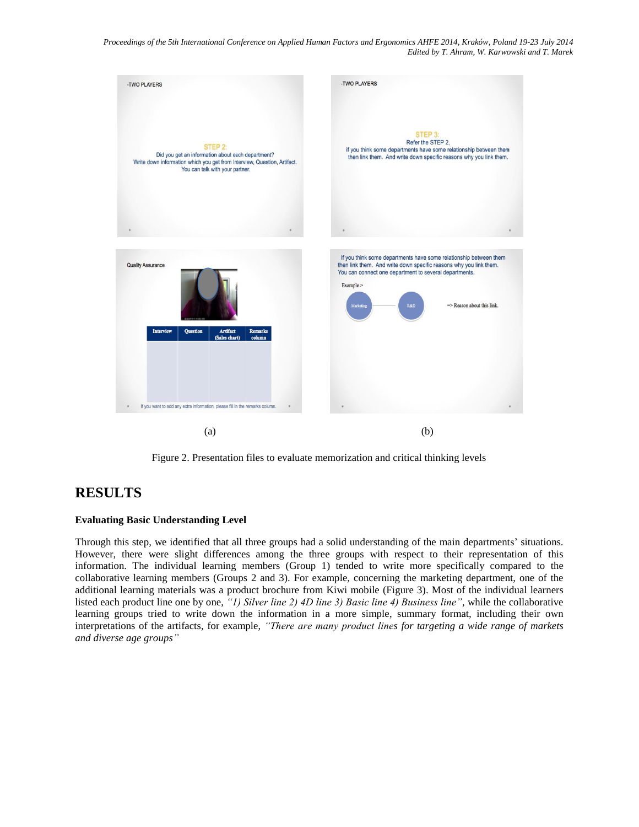*Proceedings of the 5th International Conference on Applied Human Factors and Ergonomics AHFE 2014, Kraków, Poland 19-23 July 2014 Edited by T. Ahram, W. Karwowski and T. Marek*



Figure 2. Presentation files to evaluate memorization and critical thinking levels

## **RESULTS**

#### **Evaluating Basic Understanding Level**

Through this step, we identified that all three groups had a solid understanding of the main departments' situations. However, there were slight differences among the three groups with respect to their representation of this information. The individual learning members (Group 1) tended to write more specifically compared to the collaborative learning members (Groups 2 and 3). For example, concerning the marketing department, one of the additional learning materials was a product brochure from Kiwi mobile (Figure 3). Most of the individual learners listed each product line one by one, *"1) Silver line 2) 4D line 3) Basic line 4) Business line",* while the collaborative learning groups tried to write down the information in a more simple, summary format, including their own interpretations of the artifacts, for example, *"There are many product lines for targeting a wide range of markets and diverse age groups"*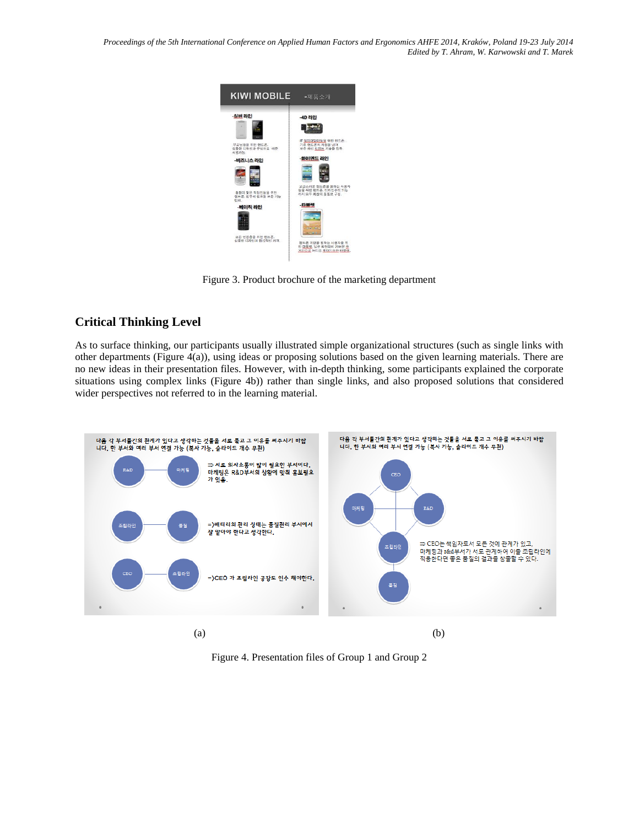*Proceedings of the 5th International Conference on Applied Human Factors and Ergonomics AHFE 2014, Kraków, Poland 19-23 July 2014 Edited by T. Ahram, W. Karwowski and T. Marek*



Figure 3. Product brochure of the marketing department

## **Critical Thinking Level**

As to surface thinking, our participants usually illustrated simple organizational structures (such as single links with other departments (Figure 4(a)), using ideas or proposing solutions based on the given learning materials. There are no new ideas in their presentation files. However, with in-depth thinking, some participants explained the corporate situations using complex links (Figure 4b)) rather than single links, and also proposed solutions that considered wider perspectives not referred to in the learning material.



Figure 4. Presentation files of Group 1 and Group 2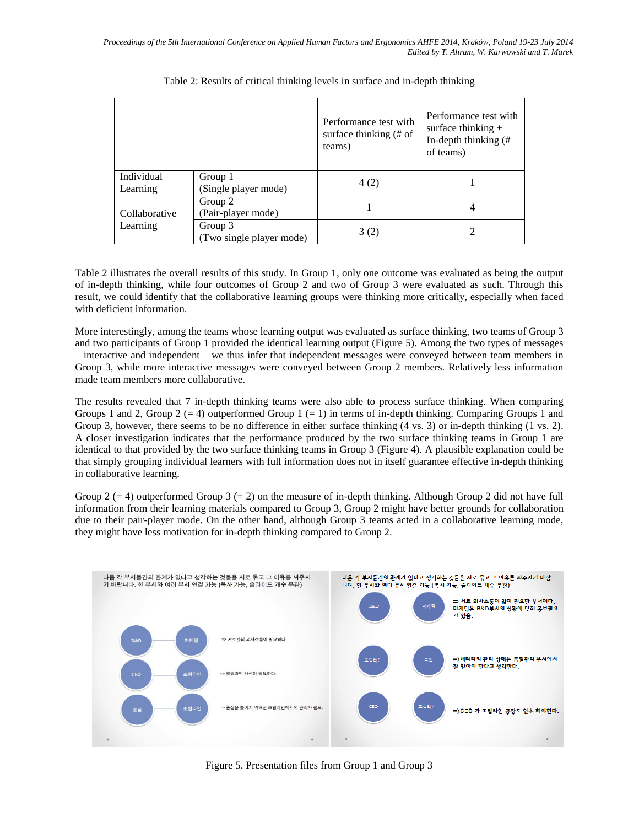|                           |                                     | Performance test with<br>surface thinking $#$ of<br>teams) | Performance test with<br>surface thinking $+$<br>In-depth thinking (#<br>of teams) |
|---------------------------|-------------------------------------|------------------------------------------------------------|------------------------------------------------------------------------------------|
| Individual<br>Learning    | Group 1<br>(Single player mode)     | 4(2)                                                       |                                                                                    |
| Collaborative<br>Learning | Group 2<br>(Pair-player mode)       |                                                            | 4                                                                                  |
|                           | Group 3<br>(Two single player mode) | 3(2)                                                       |                                                                                    |

Table 2: Results of critical thinking levels in surface and in-depth thinking

Table 2 illustrates the overall results of this study. In Group 1, only one outcome was evaluated as being the output of in-depth thinking, while four outcomes of Group 2 and two of Group 3 were evaluated as such. Through this result, we could identify that the collaborative learning groups were thinking more critically, especially when faced with deficient information.

More interestingly, among the teams whose learning output was evaluated as surface thinking, two teams of Group 3 and two participants of Group 1 provided the identical learning output (Figure 5). Among the two types of messages – interactive and independent – we thus infer that independent messages were conveyed between team members in Group 3, while more interactive messages were conveyed between Group 2 members. Relatively less information made team members more collaborative.

The results revealed that 7 in-depth thinking teams were also able to process surface thinking. When comparing Groups 1 and 2, Group  $2 (= 4)$  outperformed Group  $1 (= 1)$  in terms of in-depth thinking. Comparing Groups 1 and Group 3, however, there seems to be no difference in either surface thinking (4 vs. 3) or in-depth thinking (1 vs. 2). A closer investigation indicates that the performance produced by the two surface thinking teams in Group 1 are identical to that provided by the two surface thinking teams in Group 3 (Figure 4). A plausible explanation could be that simply grouping individual learners with full information does not in itself guarantee effective in-depth thinking in collaborative learning.

Group 2 (= 4) outperformed Group 3 (= 2) on the measure of in-depth thinking. Although Group 2 did not have full information from their learning materials compared to Group 3, Group 2 might have better grounds for collaboration due to their pair-player mode. On the other hand, although Group 3 teams acted in a collaborative learning mode, they might have less motivation for in-depth thinking compared to Group 2.



Figure 5. Presentation files from Group 1 and Group 3